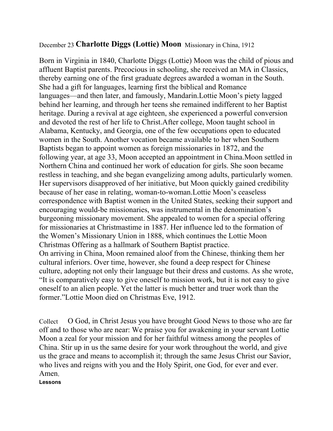## December 23 **Charlotte Diggs (Lottie) Moon** Missionary in China, 1912

Born in Virginia in 1840, Charlotte Diggs (Lottie) Moon was the child of pious and affluent Baptist parents. Precocious in schooling, she received an MA in Classics, thereby earning one of the first graduate degrees awarded a woman in the South. She had a gift for languages, learning first the biblical and Romance languages—and then later, and famously, Mandarin.Lottie Moon's piety lagged behind her learning, and through her teens she remained indifferent to her Baptist heritage. During a revival at age eighteen, she experienced a powerful conversion and devoted the rest of her life to Christ.After college, Moon taught school in Alabama, Kentucky, and Georgia, one of the few occupations open to educated women in the South. Another vocation became available to her when Southern Baptists began to appoint women as foreign missionaries in 1872, and the following year, at age 33, Moon accepted an appointment in China.Moon settled in Northern China and continued her work of education for girls. She soon became restless in teaching, and she began evangelizing among adults, particularly women. Her supervisors disapproved of her initiative, but Moon quickly gained credibility because of her ease in relating, woman-to-woman.Lottie Moon's ceaseless correspondence with Baptist women in the United States, seeking their support and encouraging would-be missionaries, was instrumental in the denomination's burgeoning missionary movement. She appealed to women for a special offering for missionaries at Christmastime in 1887. Her influence led to the formation of the Women's Missionary Union in 1888, which continues the Lottie Moon Christmas Offering as a hallmark of Southern Baptist practice. On arriving in China, Moon remained aloof from the Chinese, thinking them her cultural inferiors. Over time, however, she found a deep respect for Chinese culture, adopting not only their language but their dress and customs. As she wrote, "It is comparatively easy to give oneself to mission work, but it is not easy to give oneself to an alien people. Yet the latter is much better and truer work than the former."Lottie Moon died on Christmas Eve, 1912.

Collect O God, in Christ Jesus you have brought Good News to those who are far off and to those who are near: We praise you for awakening in your servant Lottie Moon a zeal for your mission and for her faithful witness among the peoples of China. Stir up in us the same desire for your work throughout the world, and give us the grace and means to accomplish it; through the same Jesus Christ our Savior, who lives and reigns with you and the Holy Spirit, one God, for ever and ever. Amen.

**Lessons**